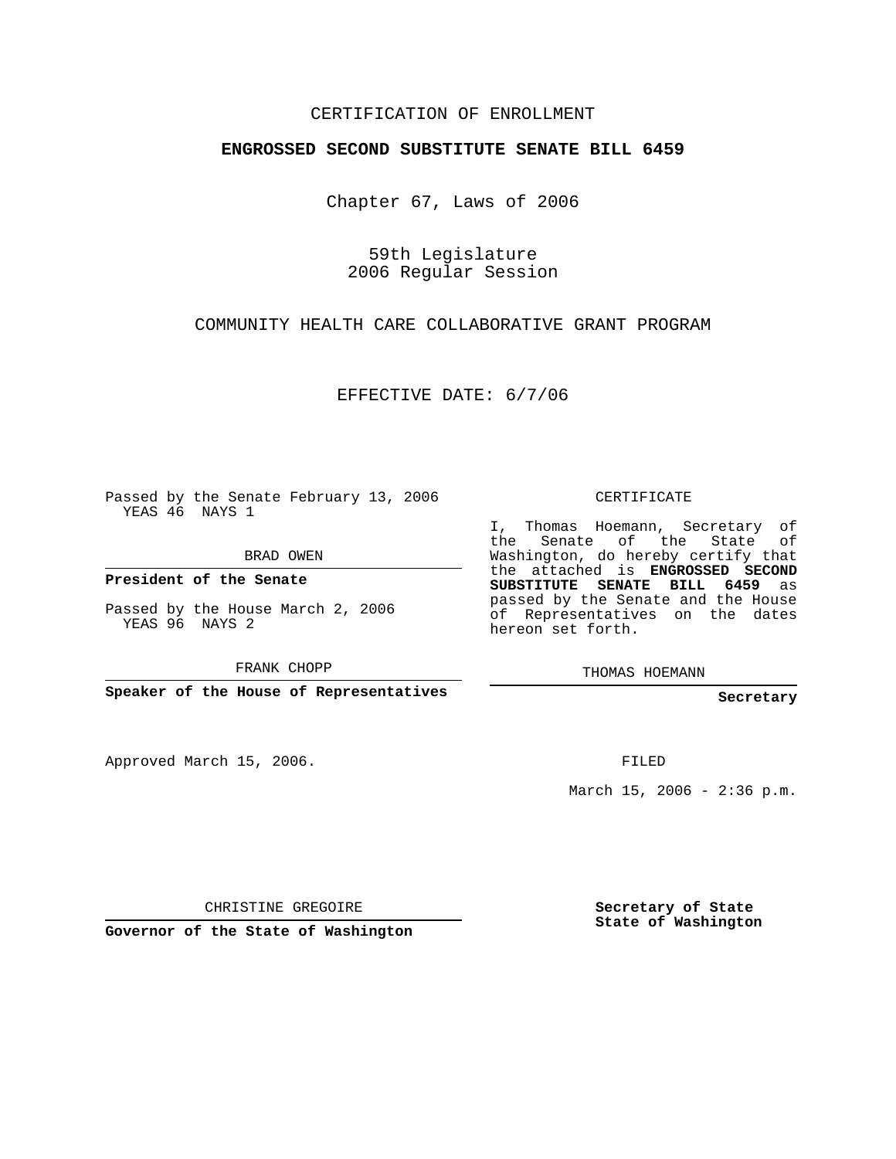## CERTIFICATION OF ENROLLMENT

## **ENGROSSED SECOND SUBSTITUTE SENATE BILL 6459**

Chapter 67, Laws of 2006

59th Legislature 2006 Regular Session

COMMUNITY HEALTH CARE COLLABORATIVE GRANT PROGRAM

EFFECTIVE DATE: 6/7/06

Passed by the Senate February 13, 2006 YEAS 46 NAYS 1

BRAD OWEN

**President of the Senate**

Passed by the House March 2, 2006 YEAS 96 NAYS 2

FRANK CHOPP

**Speaker of the House of Representatives**

Approved March 15, 2006.

CERTIFICATE

I, Thomas Hoemann, Secretary of the Senate of the State of Washington, do hereby certify that the attached is **ENGROSSED SECOND SUBSTITUTE SENATE BILL 6459** as passed by the Senate and the House of Representatives on the dates hereon set forth.

THOMAS HOEMANN

**Secretary**

FILED

March 15, 2006 -  $2:36$  p.m.

CHRISTINE GREGOIRE

**Governor of the State of Washington**

**Secretary of State State of Washington**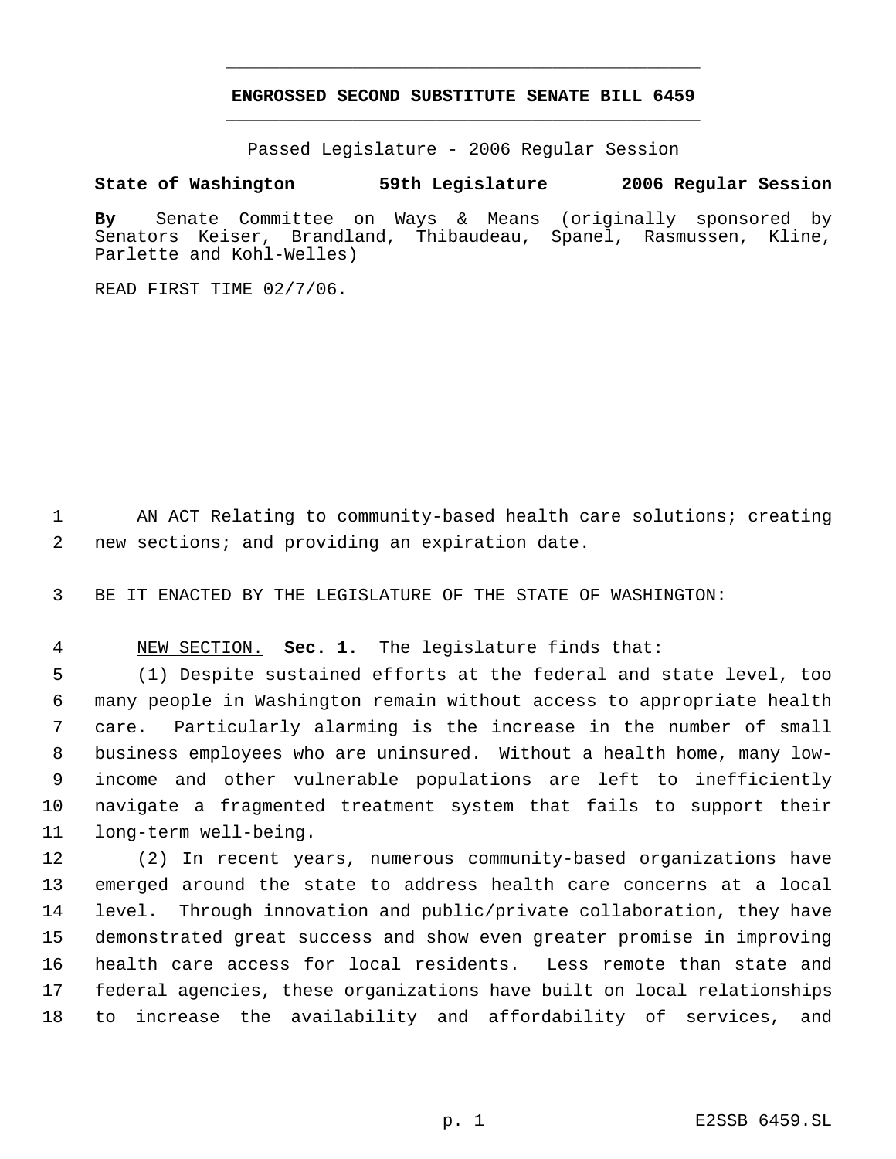## **ENGROSSED SECOND SUBSTITUTE SENATE BILL 6459** \_\_\_\_\_\_\_\_\_\_\_\_\_\_\_\_\_\_\_\_\_\_\_\_\_\_\_\_\_\_\_\_\_\_\_\_\_\_\_\_\_\_\_\_\_

\_\_\_\_\_\_\_\_\_\_\_\_\_\_\_\_\_\_\_\_\_\_\_\_\_\_\_\_\_\_\_\_\_\_\_\_\_\_\_\_\_\_\_\_\_

Passed Legislature - 2006 Regular Session

## **State of Washington 59th Legislature 2006 Regular Session**

**By** Senate Committee on Ways & Means (originally sponsored by Senators Keiser, Brandland, Thibaudeau, Spanel, Rasmussen, Kline, Parlette and Kohl-Welles)

READ FIRST TIME 02/7/06.

1 AN ACT Relating to community-based health care solutions; creating new sections; and providing an expiration date.

BE IT ENACTED BY THE LEGISLATURE OF THE STATE OF WASHINGTON:

NEW SECTION. **Sec. 1.** The legislature finds that:

 (1) Despite sustained efforts at the federal and state level, too many people in Washington remain without access to appropriate health care. Particularly alarming is the increase in the number of small business employees who are uninsured. Without a health home, many low- income and other vulnerable populations are left to inefficiently navigate a fragmented treatment system that fails to support their long-term well-being.

 (2) In recent years, numerous community-based organizations have emerged around the state to address health care concerns at a local level. Through innovation and public/private collaboration, they have demonstrated great success and show even greater promise in improving health care access for local residents. Less remote than state and federal agencies, these organizations have built on local relationships to increase the availability and affordability of services, and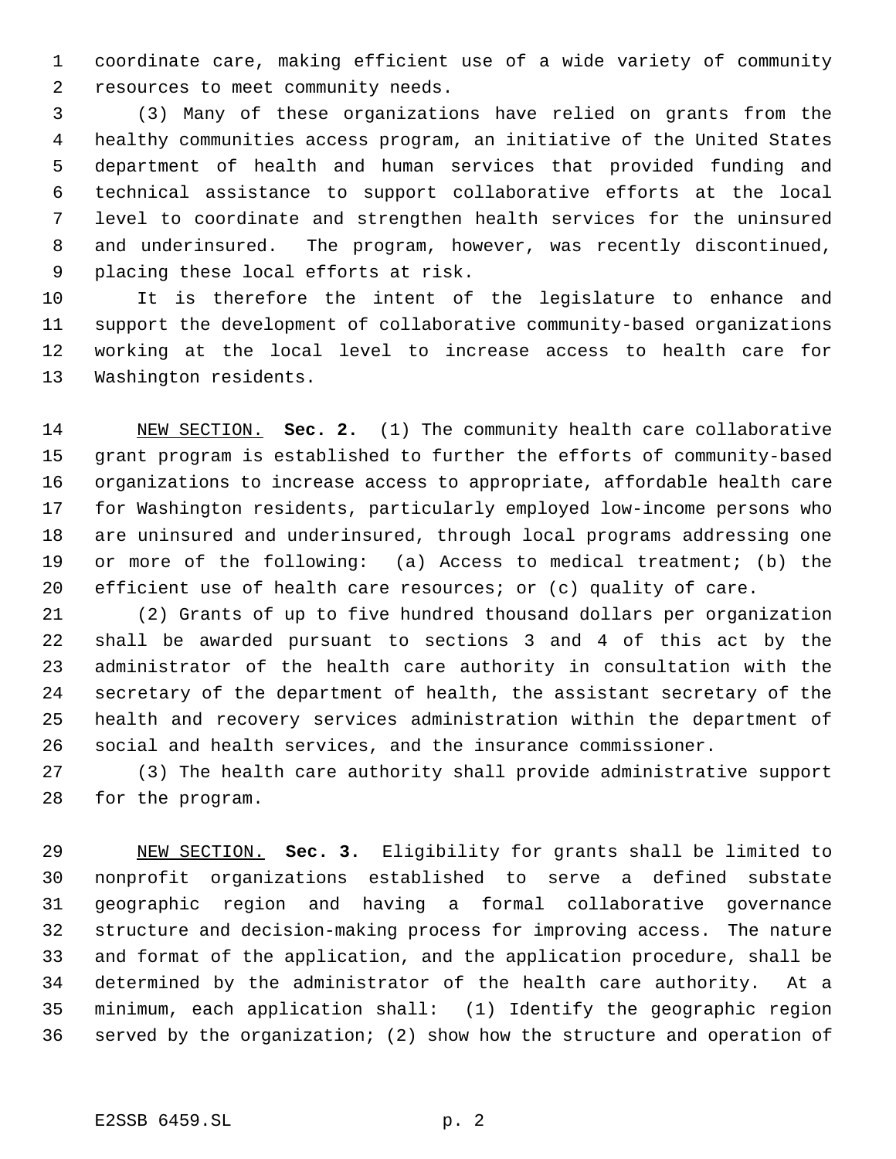coordinate care, making efficient use of a wide variety of community resources to meet community needs.

 (3) Many of these organizations have relied on grants from the healthy communities access program, an initiative of the United States department of health and human services that provided funding and technical assistance to support collaborative efforts at the local level to coordinate and strengthen health services for the uninsured and underinsured. The program, however, was recently discontinued, placing these local efforts at risk.

 It is therefore the intent of the legislature to enhance and support the development of collaborative community-based organizations working at the local level to increase access to health care for Washington residents.

 NEW SECTION. **Sec. 2.** (1) The community health care collaborative grant program is established to further the efforts of community-based organizations to increase access to appropriate, affordable health care for Washington residents, particularly employed low-income persons who are uninsured and underinsured, through local programs addressing one or more of the following: (a) Access to medical treatment; (b) the 20 efficient use of health care resources; or (c) quality of care.

 (2) Grants of up to five hundred thousand dollars per organization shall be awarded pursuant to sections 3 and 4 of this act by the administrator of the health care authority in consultation with the secretary of the department of health, the assistant secretary of the health and recovery services administration within the department of social and health services, and the insurance commissioner.

 (3) The health care authority shall provide administrative support for the program.

 NEW SECTION. **Sec. 3.** Eligibility for grants shall be limited to nonprofit organizations established to serve a defined substate geographic region and having a formal collaborative governance structure and decision-making process for improving access. The nature and format of the application, and the application procedure, shall be determined by the administrator of the health care authority. At a minimum, each application shall: (1) Identify the geographic region served by the organization; (2) show how the structure and operation of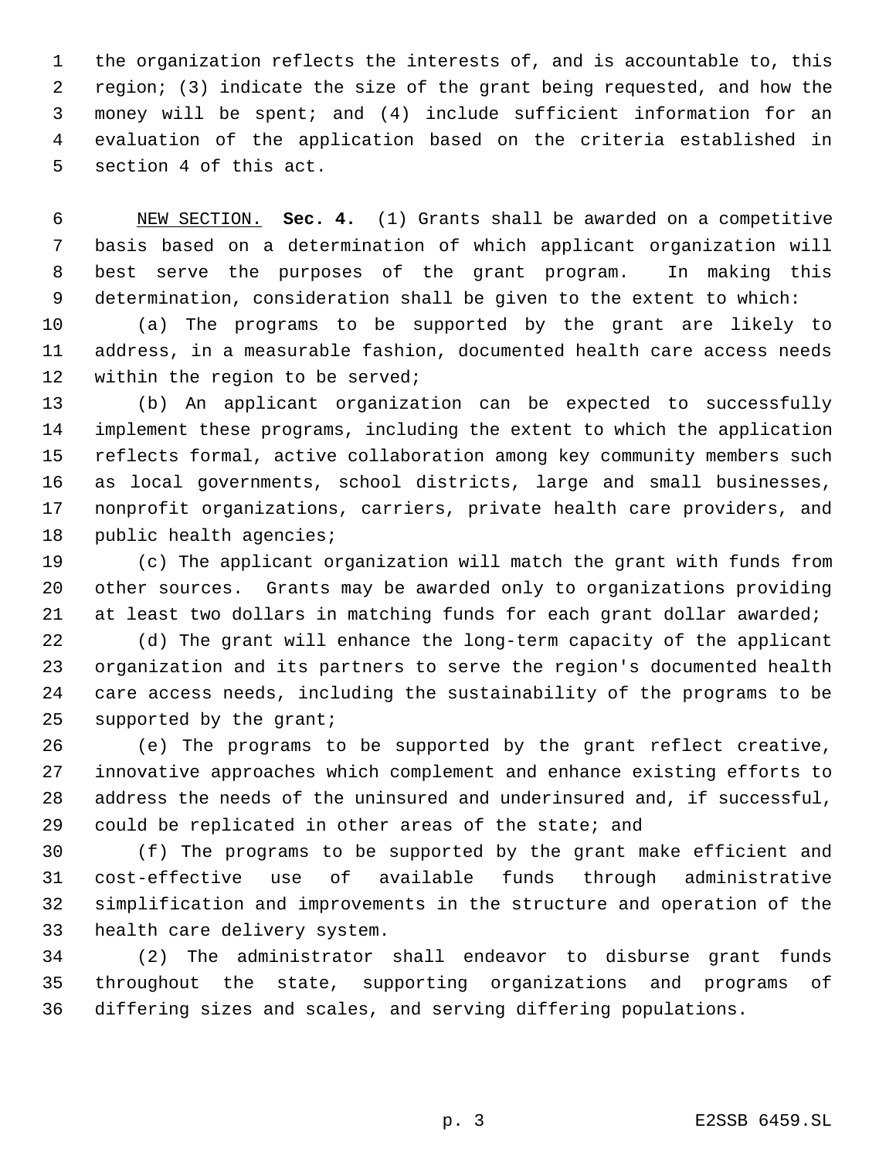the organization reflects the interests of, and is accountable to, this region; (3) indicate the size of the grant being requested, and how the money will be spent; and (4) include sufficient information for an evaluation of the application based on the criteria established in section 4 of this act.

 NEW SECTION. **Sec. 4.** (1) Grants shall be awarded on a competitive basis based on a determination of which applicant organization will best serve the purposes of the grant program. In making this determination, consideration shall be given to the extent to which:

 (a) The programs to be supported by the grant are likely to address, in a measurable fashion, documented health care access needs within the region to be served;

 (b) An applicant organization can be expected to successfully implement these programs, including the extent to which the application reflects formal, active collaboration among key community members such as local governments, school districts, large and small businesses, nonprofit organizations, carriers, private health care providers, and public health agencies;

 (c) The applicant organization will match the grant with funds from other sources. Grants may be awarded only to organizations providing at least two dollars in matching funds for each grant dollar awarded;

 (d) The grant will enhance the long-term capacity of the applicant organization and its partners to serve the region's documented health care access needs, including the sustainability of the programs to be supported by the grant;

 (e) The programs to be supported by the grant reflect creative, innovative approaches which complement and enhance existing efforts to address the needs of the uninsured and underinsured and, if successful, could be replicated in other areas of the state; and

 (f) The programs to be supported by the grant make efficient and cost-effective use of available funds through administrative simplification and improvements in the structure and operation of the health care delivery system.

 (2) The administrator shall endeavor to disburse grant funds throughout the state, supporting organizations and programs of differing sizes and scales, and serving differing populations.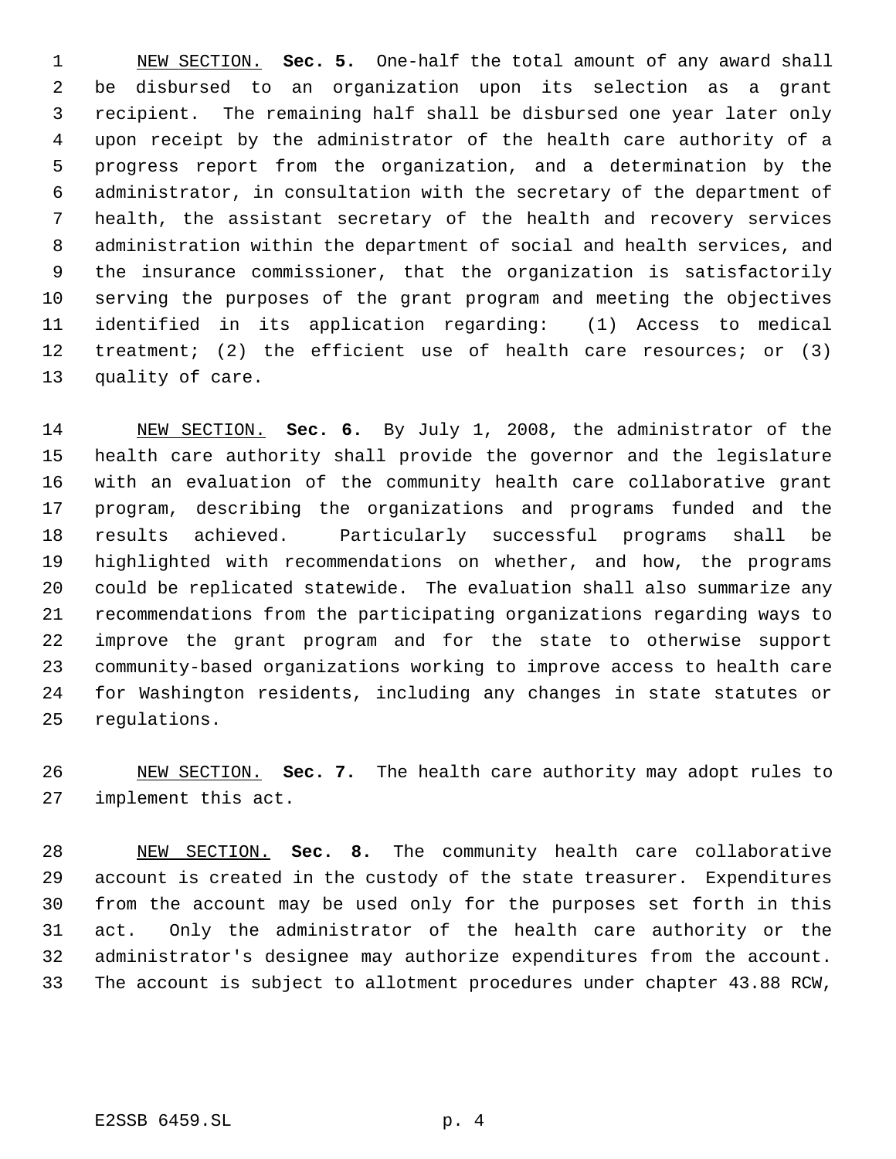NEW SECTION. **Sec. 5.** One-half the total amount of any award shall be disbursed to an organization upon its selection as a grant recipient. The remaining half shall be disbursed one year later only upon receipt by the administrator of the health care authority of a progress report from the organization, and a determination by the administrator, in consultation with the secretary of the department of health, the assistant secretary of the health and recovery services administration within the department of social and health services, and the insurance commissioner, that the organization is satisfactorily serving the purposes of the grant program and meeting the objectives identified in its application regarding: (1) Access to medical treatment; (2) the efficient use of health care resources; or (3) quality of care.

 NEW SECTION. **Sec. 6.** By July 1, 2008, the administrator of the health care authority shall provide the governor and the legislature with an evaluation of the community health care collaborative grant program, describing the organizations and programs funded and the results achieved. Particularly successful programs shall be highlighted with recommendations on whether, and how, the programs could be replicated statewide. The evaluation shall also summarize any recommendations from the participating organizations regarding ways to improve the grant program and for the state to otherwise support community-based organizations working to improve access to health care for Washington residents, including any changes in state statutes or regulations.

 NEW SECTION. **Sec. 7.** The health care authority may adopt rules to implement this act.

 NEW SECTION. **Sec. 8.** The community health care collaborative account is created in the custody of the state treasurer. Expenditures from the account may be used only for the purposes set forth in this act. Only the administrator of the health care authority or the administrator's designee may authorize expenditures from the account. The account is subject to allotment procedures under chapter 43.88 RCW,